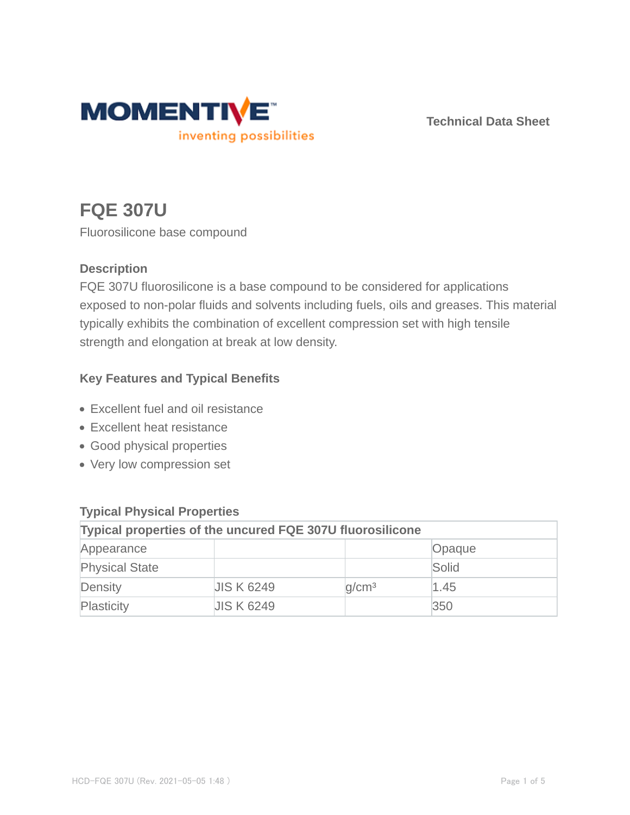

**Technical Data Sheet**

# **FQE 307U**

Fluorosilicone base compound

## **Description**

FQE 307U fluorosilicone is a base compound to be considered for applications exposed to non-polar fluids and solvents including fuels, oils and greases. This material typically exhibits the combination of excellent compression set with high tensile strength and elongation at break at low density.

## **Key Features and Typical Benefits**

- Excellent fuel and oil resistance
- Excellent heat resistance
- Good physical properties
- Very low compression set

| $\frac{1}{2}$                                                    |                   |                   |        |  |  |
|------------------------------------------------------------------|-------------------|-------------------|--------|--|--|
| <b>Typical properties of the uncured FQE 307U fluorosilicone</b> |                   |                   |        |  |  |
| Appearance                                                       |                   |                   | Opaque |  |  |
| <b>Physical State</b>                                            |                   |                   | Solid  |  |  |
| Density                                                          | <b>JIS K 6249</b> | q/cm <sup>3</sup> | 1.45   |  |  |
| Plasticity                                                       | <b>JIS K 6249</b> |                   | 350    |  |  |

# **Typical Physical Properties**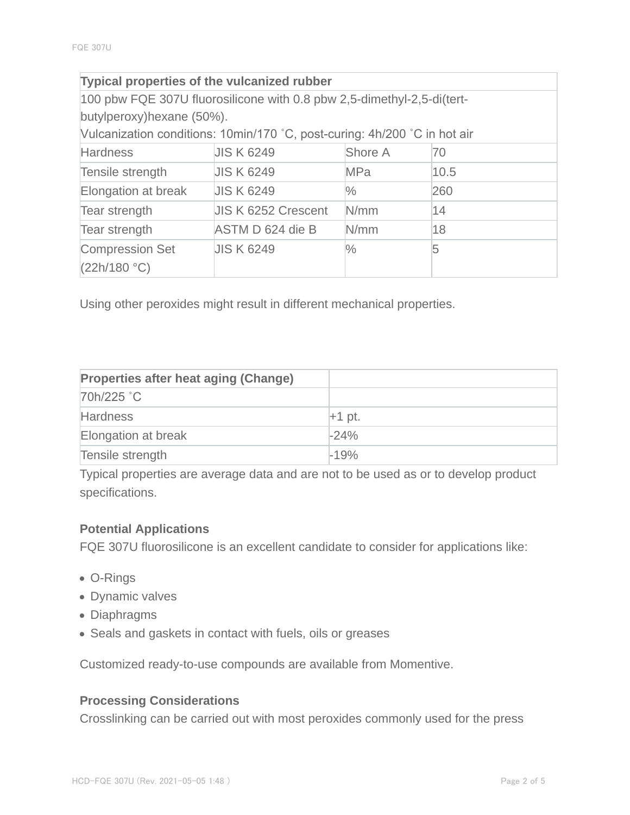| <b>Typical properties of the vulcanized rubber</b>                        |                            |               |      |  |  |
|---------------------------------------------------------------------------|----------------------------|---------------|------|--|--|
| 100 pbw FQE 307U fluorosilicone with 0.8 pbw 2,5-dimethyl-2,5-di(tert-    |                            |               |      |  |  |
| butylperoxy) hexane (50%).                                                |                            |               |      |  |  |
| Vulcanization conditions: 10min/170 °C, post-curing: 4h/200 °C in hot air |                            |               |      |  |  |
| <b>Hardness</b>                                                           | <b>JIS K 6249</b>          | Shore A       | 70   |  |  |
| Tensile strength                                                          | <b>JIS K 6249</b>          | <b>MPa</b>    | 10.5 |  |  |
| Elongation at break                                                       | <b>JIS K 6249</b>          | $\frac{0}{0}$ | 260  |  |  |
| Tear strength                                                             | <b>JIS K 6252 Crescent</b> | N/mm          | 14   |  |  |
| Tear strength                                                             | ASTM D 624 die B           | N/mm          | 18   |  |  |
| <b>Compression Set</b>                                                    | <b>JIS K 6249</b>          | $\frac{1}{2}$ | 5    |  |  |
| (22h/180 °C)                                                              |                            |               |      |  |  |

Using other peroxides might result in different mechanical properties.

| <b>Properties after heat aging (Change)</b> |          |
|---------------------------------------------|----------|
| 70h/225 °C                                  |          |
| <b>Hardness</b>                             | $+1$ pt. |
| Elongation at break                         | $-24%$   |
| Tensile strength                            | $-19%$   |

Typical properties are average data and are not to be used as or to develop product specifications.

#### **Potential Applications**

FQE 307U fluorosilicone is an excellent candidate to consider for applications like:

- O-Rings
- Dynamic valves
- Diaphragms
- Seals and gaskets in contact with fuels, oils or greases

Customized ready-to-use compounds are available from Momentive.

#### **Processing Considerations**

Crosslinking can be carried out with most peroxides commonly used for the press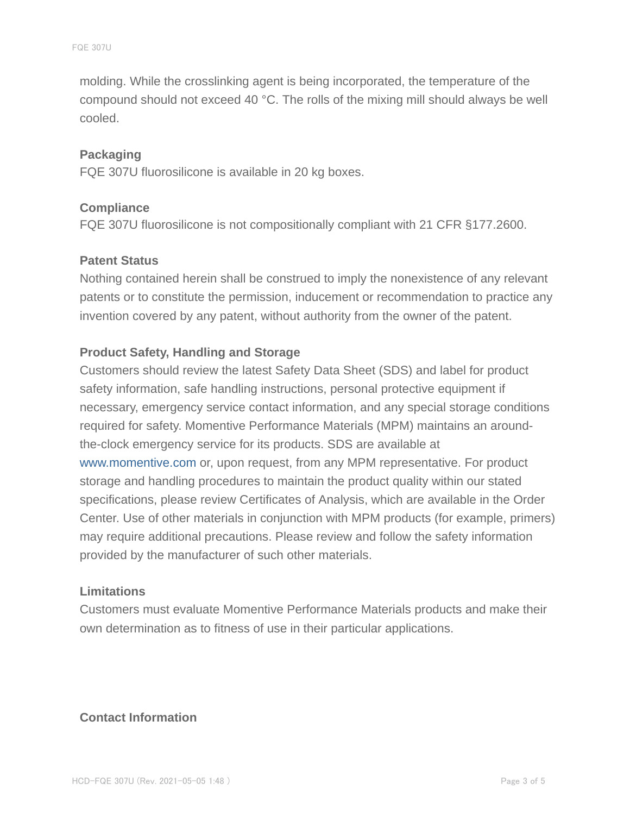molding. While the crosslinking agent is being incorporated, the temperature of the compound should not exceed 40 °C. The rolls of the mixing mill should always be well cooled.

#### **Packaging**

FQE 307U fluorosilicone is available in 20 kg boxes.

#### **Compliance**

FQE 307U fluorosilicone is not compositionally compliant with 21 CFR §177.2600.

#### **Patent Status**

Nothing contained herein shall be construed to imply the nonexistence of any relevant patents or to constitute the permission, inducement or recommendation to practice any invention covered by any patent, without authority from the owner of the patent.

#### **Product Safety, Handling and Storage**

Customers should review the latest Safety Data Sheet (SDS) and label for product safety information, safe handling instructions, personal protective equipment if necessary, emergency service contact information, and any special storage conditions required for safety. Momentive Performance Materials (MPM) maintains an aroundthe-clock emergency service for its products. SDS are available at www.momentive.com or, upon request, from any MPM representative. For product storage and handling procedures to maintain the product quality within our stated specifications, please review Certificates of Analysis, which are available in the Order Center. Use of other materials in conjunction with MPM products (for example, primers) may require additional precautions. Please review and follow the safety information provided by the manufacturer of such other materials.

#### **Limitations**

Customers must evaluate Momentive Performance Materials products and make their own determination as to fitness of use in their particular applications.

#### **Contact Information**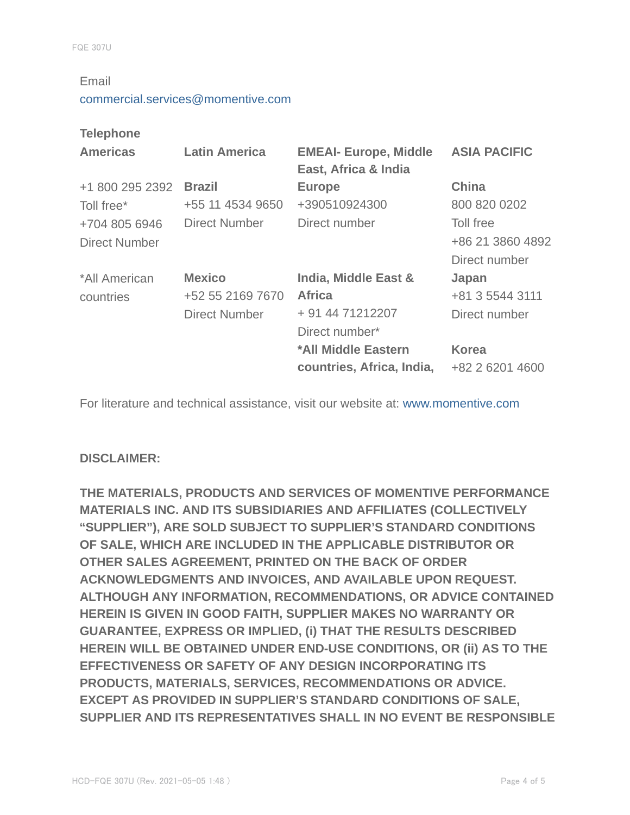#### Email

#### commercial.services@momentive.com

#### **Telephone**

| <b>Americas</b>      | <b>Latin America</b> | <b>EMEAI- Europe, Middle</b><br>East, Africa & India | <b>ASIA PACIFIC</b> |
|----------------------|----------------------|------------------------------------------------------|---------------------|
| +1 800 295 2392      | <b>Brazil</b>        | <b>Europe</b>                                        | <b>China</b>        |
| Toll free*           | +55 11 4534 9650     | +390510924300                                        | 800 820 0202        |
| +704 805 6946        | Direct Number        | Direct number                                        | Toll free           |
| <b>Direct Number</b> |                      |                                                      | +86 21 3860 4892    |
|                      |                      |                                                      | Direct number       |
| *All American        | <b>Mexico</b>        | India, Middle East &                                 | Japan               |
| countries            | +52 55 2169 7670     | <b>Africa</b>                                        | +81 3 5544 3111     |
|                      | <b>Direct Number</b> | + 91 44 71212207                                     | Direct number       |
|                      |                      | Direct number*                                       |                     |
|                      |                      | *All Middle Eastern                                  | <b>Korea</b>        |
|                      |                      | countries, Africa, India,                            | +82 2 6201 4600     |

For literature and technical assistance, visit our website at: www.momentive.com

#### **DISCLAIMER:**

**THE MATERIALS, PRODUCTS AND SERVICES OF MOMENTIVE PERFORMANCE MATERIALS INC. AND ITS SUBSIDIARIES AND AFFILIATES (COLLECTIVELY "SUPPLIER"), ARE SOLD SUBJECT TO SUPPLIER'S STANDARD CONDITIONS OF SALE, WHICH ARE INCLUDED IN THE APPLICABLE DISTRIBUTOR OR OTHER SALES AGREEMENT, PRINTED ON THE BACK OF ORDER ACKNOWLEDGMENTS AND INVOICES, AND AVAILABLE UPON REQUEST. ALTHOUGH ANY INFORMATION, RECOMMENDATIONS, OR ADVICE CONTAINED HEREIN IS GIVEN IN GOOD FAITH, SUPPLIER MAKES NO WARRANTY OR GUARANTEE, EXPRESS OR IMPLIED, (i) THAT THE RESULTS DESCRIBED HEREIN WILL BE OBTAINED UNDER END-USE CONDITIONS, OR (ii) AS TO THE EFFECTIVENESS OR SAFETY OF ANY DESIGN INCORPORATING ITS PRODUCTS, MATERIALS, SERVICES, RECOMMENDATIONS OR ADVICE. EXCEPT AS PROVIDED IN SUPPLIER'S STANDARD CONDITIONS OF SALE, SUPPLIER AND ITS REPRESENTATIVES SHALL IN NO EVENT BE RESPONSIBLE**